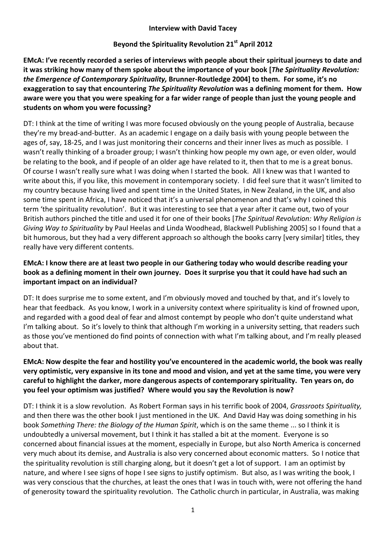#### **Interview with David Tacey**

# Beyond the Spirituality Revolution 21<sup>st</sup> April 2012

**EMcA: I've recently recorded a series of interviews with people about their spiritual journeys to date and it was striking how many of them spoke about the importance of your book [***The Spirituality Revolution: the Emergence of Contemporary Spirituality,* **Brunner-Routledge 2004] to them. For some, it's no exaggeration to say that encountering** *The Spirituality Revolution* **was a defining moment for them. How aware were you that you were speaking for a far wider range of people than just the young people and students on whom you were focussing?** 

DT: I think at the time of writing I was more focused obviously on the young people of Australia, because they're my bread-and-butter. As an academic I engage on a daily basis with young people between the ages of, say, 18-25, and I was just monitoring their concerns and their inner lives as much as possible. I wasn't really thinking of a broader group; I wasn't thinking how people my own age, or even older, would be relating to the book, and if people of an older age have related to it, then that to me is a great bonus. Of course I wasn't really sure what I was doing when I started the book. All I knew was that I wanted to write about this, if you like, this movement in contemporary society. I did feel sure that it wasn't limited to my country because having lived and spent time in the United States, in New Zealand, in the UK, and also some time spent in Africa, I have noticed that it's a universal phenomenon and that's why I coined this term 'the spirituality revolution'. But it was interesting to see that a year after it came out, two of your British authors pinched the title and used it for one of their books [*The Spiritual Revolution: Why Religion is Giving Way to Spirituality* by Paul Heelas and Linda Woodhead, Blackwell Publishing 2005] so I found that a bit humorous, but they had a very different approach so although the books carry [very similar] titles, they really have very different contents.

## **EMcA: I know there are at least two people in our Gathering today who would describe reading your book as a defining moment in their own journey. Does it surprise you that it could have had such an important impact on an individual?**

DT: It does surprise me to some extent, and I'm obviously moved and touched by that, and it's lovely to hear that feedback. As you know, I work in a university context where spirituality is kind of frowned upon, and regarded with a good deal of fear and almost contempt by people who don't quite understand what I'm talking about. So it's lovely to think that although I'm working in a university setting, that readers such as those you've mentioned do find points of connection with what I'm talking about, and I'm really pleased about that.

## **EMcA: Now despite the fear and hostility you've encountered in the academic world, the book was really very optimistic, very expansive in its tone and mood and vision, and yet at the same time, you were very careful to highlight the darker, more dangerous aspects of contemporary spirituality. Ten years on, do you feel your optimism was justified? Where would you say the Revolution is now?**

DT: I think it is a slow revolution. As Robert Forman says in his terrific book of 2004, *Grassroots Spirituality,* and then there was the other book I just mentioned in the UK. And David Hay was doing something in his book *Something There: the Biology of the Human Spirit*, which is on the same theme ... so I think it is undoubtedly a universal movement, but I think it has stalled a bit at the moment. Everyone is so concerned about financial issues at the moment, especially in Europe, but also North America is concerned very much about its demise, and Australia is also very concerned about economic matters. So I notice that the spirituality revolution is still charging along, but it doesn't get a lot of support. I am an optimist by nature, and where I see signs of hope I see signs to justify optimism. But also, as I was writing the book, I was very conscious that the churches, at least the ones that I was in touch with, were not offering the hand of generosity toward the spirituality revolution. The Catholic church in particular, in Australia, was making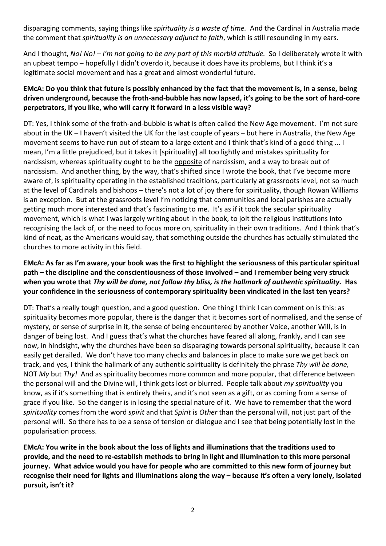disparaging comments, saying things like *spirituality is a waste of time.* And the Cardinal in Australia made the comment that *spirituality is an unnecessary adjunct to faith*, which is still resounding in my ears.

And I thought, *No! No! – I'm not going to be any part of this morbid attitude.* So I deliberately wrote it with an upbeat tempo – hopefully I didn't overdo it, because it does have its problems, but I think it's a legitimate social movement and has a great and almost wonderful future.

# **EMcA: Do you think that future is possibly enhanced by the fact that the movement is, in a sense, being driven underground, because the froth-and-bubble has now lapsed, it's going to be the sort of hard-core perpetrators, if you like, who will carry it forward in a less visible way?**

DT: Yes, I think some of the froth-and-bubble is what is often called the New Age movement. I'm not sure about in the UK – I haven't visited the UK for the last couple of years – but here in Australia, the New Age movement seems to have run out of steam to a large extent and I think that's kind of a good thing ... I mean, I'm a little prejudiced, but it takes it [spirituality] all too lightly and mistakes spirituality for narcissism, whereas spirituality ought to be the opposite of narcissism, and a way to break out of narcissism. And another thing, by the way, that's shifted since I wrote the book, that I've become more aware of, is spirituality operating in the established traditions, particularly at grassroots level, not so much at the level of Cardinals and bishops – there's not a lot of joy there for spirituality, though Rowan Williams is an exception. But at the grassroots level I'm noticing that communities and local parishes are actually getting much more interested and that's fascinating to me. It's as if it took the secular spirituality movement, which is what I was largely writing about in the book, to jolt the religious institutions into recognising the lack of, or the need to focus more on, spirituality in their own traditions. And I think that's kind of neat, as the Americans would say, that something outside the churches has actually stimulated the churches to more activity in this field.

# **EMcA: As far as I'm aware, your book was the first to highlight the seriousness of this particular spiritual path – the discipline and the conscientiousness of those involved – and I remember being very struck when you wrote that** *Thy will be done, not follow thy bliss, is the hallmark of authentic spirituality.* **Has your confidence in the seriousness of contemporary spirituality been vindicated in the last ten years?**

DT: That's a really tough question, and a good question. One thing I think I can comment on is this: as spirituality becomes more popular, there is the danger that it becomes sort of normalised, and the sense of mystery, or sense of surprise in it, the sense of being encountered by another Voice, another Will, is in danger of being lost. And I guess that's what the churches have feared all along, frankly, and I can see now, in hindsight, why the churches have been so disparaging towards personal spirituality, because it can easily get derailed. We don't have too many checks and balances in place to make sure we get back on track, and yes, I think the hallmark of any authentic spirituality is definitely the phrase *Thy will be done,*  NOT *My* but *Thy!* And as spirituality becomes more common and more popular, that difference between the personal will and the Divine will, I think gets lost or blurred. People talk about *my spirituality* you know, as if it's something that is entirely theirs, and it's not seen as a gift, or as coming from a sense of grace if you like. So the danger is in losing the special nature of it. We have to remember that the word *spirituality* comes from the word *spirit* and that *Spirit* is *Other* than the personal will, not just part of the personal will. So there has to be a sense of tension or dialogue and I see that being potentially lost in the popularisation process.

**EMcA: You write in the book about the loss of lights and illuminations that the traditions used to provide, and the need to re-establish methods to bring in light and illumination to this more personal journey. What advice would you have for people who are committed to this new form of journey but recognise their need for lights and illuminations along the way – because it's often a very lonely, isolated pursuit, isn't it?**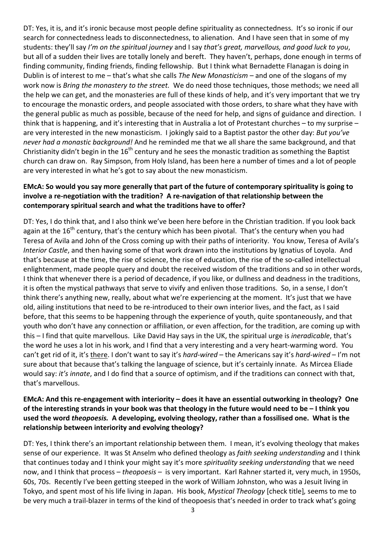DT: Yes, it is, and it's ironic because most people define spirituality as connectedness. It's so ironic if our search for connectedness leads to disconnectedness, to alienation. And I have seen that in some of my students: they'll say *I'm on the spiritual journey* and I say *that's great, marvellous, and good luck to you*, but all of a sudden their lives are totally lonely and bereft. They haven't, perhaps, done enough in terms of finding community, finding friends, finding fellowship. But I think what Bernadette Flanagan is doing in Dublin is of interest to me – that's what she calls *The New Monasticism –* and one of the slogans of my work now is *Bring the monastery to the street.* We do need those techniques, those methods; we need all the help we can get, and the monasteries are full of these kinds of help, and it's very important that we try to encourage the monastic orders, and people associated with those orders, to share what they have with the general public as much as possible, because of the need for help, and signs of guidance and direction. I think that is happening, and it's interesting that in Australia a lot of Protestant churches – to my surprise – are very interested in the new monasticism. I jokingly said to a Baptist pastor the other day: *But you've never had a monastic background!* And he reminded me that we all share the same background, and that Christianity didn't begin in the  $16<sup>th</sup>$  century and he sees the monastic tradition as something the Baptist church can draw on. Ray Simpson, from Holy Island, has been here a number of times and a lot of people are very interested in what he's got to say about the new monasticism.

## **EMcA: So would you say more generally that part of the future of contemporary spirituality is going to involve a re-negotiation with the tradition? A re-navigation of that relationship between the contemporary spiritual search and what the traditions have to offer?**

DT: Yes, I do think that, and I also think we've been here before in the Christian tradition. If you look back again at the  $16<sup>th</sup>$  century, that's the century which has been pivotal. That's the century when you had Teresa of Avila and John of the Cross coming up with their paths of interiority. You know, Teresa of Avila's *Interior Castle*, and then having some of that work drawn into the institutions by Ignatius of Loyola. And that's because at the time, the rise of science, the rise of education, the rise of the so-called intellectual enlightenment, made people query and doubt the received wisdom of the traditions and so in other words, I think that whenever there is a period of decadence, if you like, or dullness and deadness in the traditions, it is often the mystical pathways that serve to vivify and enliven those traditions. So, in a sense, I don't think there's anything new, really, about what we're experiencing at the moment. It's just that we have old, ailing institutions that need to be re-introduced to their own interior lives, and the fact, as I said before, that this seems to be happening through the experience of youth, quite spontaneously, and that youth who don't have any connection or affiliation, or even affection, for the tradition, are coming up with this – I find that quite marvellous. Like David Hay says in the UK, the spiritual urge is *ineradicable*, that's the word he uses a lot in his work, and I find that a very interesting and a very heart-warming word. You can't get rid of it, it's there. I don't want to say it's *hard-wired* – the Americans say it's *hard-wired* – I'm not sure about that because that's talking the language of science, but it's certainly innate. As Mircea Eliade would say: *it's innate*, and I do find that a source of optimism, and if the traditions can connect with that, that's marvellous.

## **EMcA: And this re-engagement with interiority – does it have an essential outworking in theology? One of the interesting strands in your book was that theology in the future would need to be – I think you used the word** *theopoesis.* **A developing, evolving theology, rather than a fossilised one. What is the relationship between interiority and evolving theology?**

DT: Yes, I think there's an important relationship between them. I mean, it's evolving theology that makes sense of our experience. It was St Anselm who defined theology as *faith seeking understanding* and I think that continues today and I think your might say it's more *spirituality seeking understanding* that we need now, and I think that process – *theopoesis –* is very important. Karl Rahner started it, very much, in 1950s, 60s, 70s. Recently I've been getting steeped in the work of William Johnston, who was a Jesuit living in Tokyo, and spent most of his life living in Japan. His book, *Mystical Theology* [check title]*,* seems to me to be very much a trail-blazer in terms of the kind of theopoesis that's needed in order to track what's going